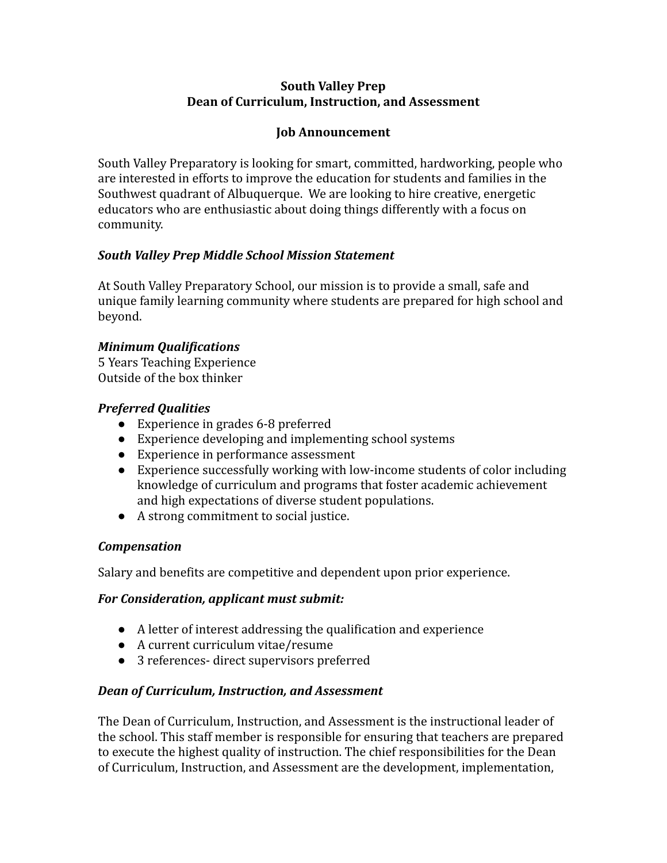#### **South Valley Prep Dean of Curriculum, Instruction, and Assessment**

#### **Job Announcement**

South Valley Preparatory is looking for smart, committed, hardworking, people who are interested in efforts to improve the education for students and families in the Southwest quadrant of Albuquerque. We are looking to hire creative, energetic educators who are enthusiastic about doing things differently with a focus on community.

## *South Valley Prep Middle School Mission Statement*

At South Valley Preparatory School, our mission is to provide a small, safe and unique family learning community where students are prepared for high school and beyond.

## *Minimum Qualifications*

5 Years Teaching Experience Outside of the box thinker

## *Preferred Qualities*

- Experience in grades 6-8 preferred
- Experience developing and implementing school systems
- Experience in performance assessment
- Experience successfully working with low-income students of color including knowledge of curriculum and programs that foster academic achievement and high expectations of diverse student populations.
- A strong commitment to social justice.

#### *Compensation*

Salary and benefits are competitive and dependent upon prior experience.

#### *For Consideration, applicant must submit:*

- A letter of interest addressing the qualification and experience
- A current curriculum vitae/resume
- 3 references- direct supervisors preferred

#### *Dean of Curriculum, Instruction, and Assessment*

The Dean of Curriculum, Instruction, and Assessment is the instructional leader of the school. This staff member is responsible for ensuring that teachers are prepared to execute the highest quality of instruction. The chief responsibilities for the Dean of Curriculum, Instruction, and Assessment are the development, implementation,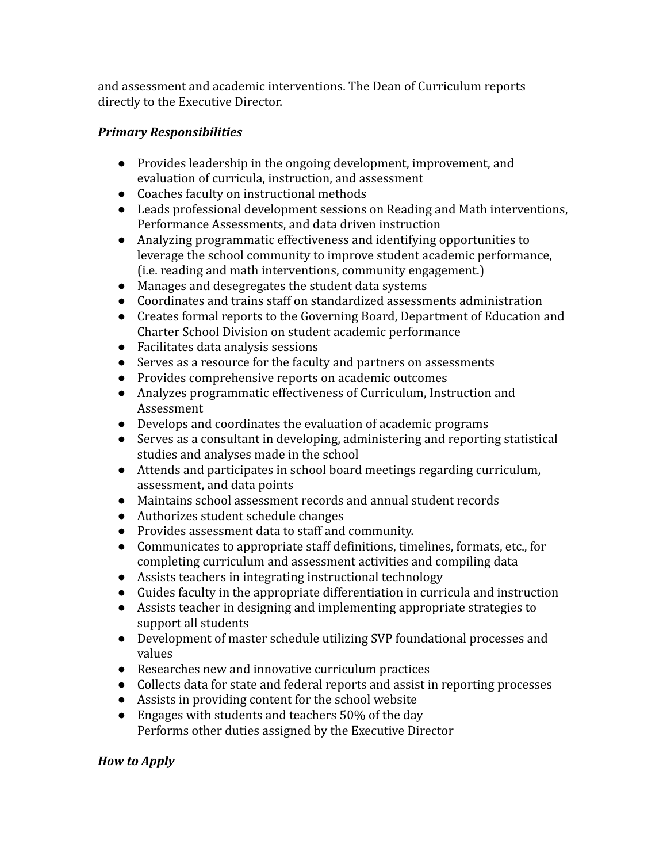and assessment and academic interventions. The Dean of Curriculum reports directly to the Executive Director.

# *Primary Responsibilities*

- Provides leadership in the ongoing development, improvement, and evaluation of curricula, instruction, and assessment
- Coaches faculty on instructional methods
- Leads professional development sessions on Reading and Math interventions, Performance Assessments, and data driven instruction
- Analyzing programmatic effectiveness and identifying opportunities to leverage the school community to improve student academic performance, (i.e. reading and math interventions, community engagement.)
- Manages and desegregates the student data systems
- Coordinates and trains staff on standardized assessments administration
- Creates formal reports to the Governing Board, Department of Education and Charter School Division on student academic performance
- Facilitates data analysis sessions
- Serves as a resource for the faculty and partners on assessments
- Provides comprehensive reports on academic outcomes
- Analyzes programmatic effectiveness of Curriculum, Instruction and Assessment
- Develops and coordinates the evaluation of academic programs
- Serves as a consultant in developing, administering and reporting statistical studies and analyses made in the school
- Attends and participates in school board meetings regarding curriculum, assessment, and data points
- Maintains school assessment records and annual student records
- Authorizes student schedule changes
- Provides assessment data to staff and community.
- Communicates to appropriate staff definitions, timelines, formats, etc., for completing curriculum and assessment activities and compiling data
- Assists teachers in integrating instructional technology
- Guides faculty in the appropriate differentiation in curricula and instruction
- Assists teacher in designing and implementing appropriate strategies to support all students
- Development of master schedule utilizing SVP foundational processes and values
- Researches new and innovative curriculum practices
- Collects data for state and federal reports and assist in reporting processes
- Assists in providing content for the school website
- Engages with students and teachers 50% of the day Performs other duties assigned by the Executive Director

# *How to Apply*